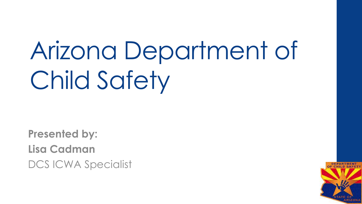# Arizona Department of Child Safety

**Presented by: Lisa Cadman** DCS ICWA Specialist

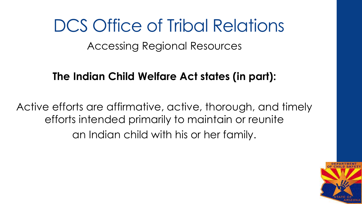Accessing Regional Resources

#### **The Indian Child Welfare Act states (in part):**

Active efforts are affirmative, active, thorough, and timely efforts intended primarily to maintain or reunite an Indian child with his or her family.

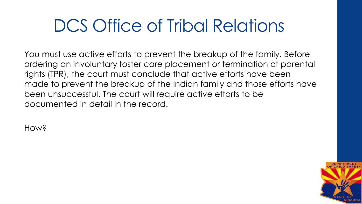You must use active efforts to prevent the breakup of the family. Before ordering an involuntary foster care placement or termination of parental rights (TPR), the court must conclude that active efforts have been made to prevent the breakup of the Indian family and those efforts have been unsuccessful. The court will require active efforts to be documented in detail in the record.

How?

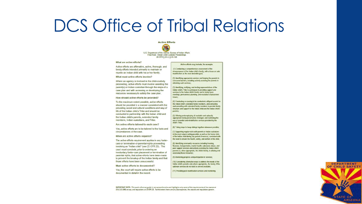**Active Efforts** 

U.S. Department of the Intenor, Bureau of Indian Affairs<br>Final Rule: Indian Child Custody Proceedings 25 CFR § 23.2, § 23.120

#### What are active efforts?

Active efforts are affirmative, active, thorough, and timely efforts intended primarily to maintain or reunite an Indian child with his or her family.

#### What must active efforts involve?

Where an agency is involved in the child-custody proceeding, active efforts must involve assisting the parent(s) or Indian custodian through the steps of a case plan and with accessing or developing the resources necessary to satisfy the case plan.

#### How should active efforts be provided?

To the maximum extent possible, active efforts should be provided in a manner consistent with the prevailing social and cultural conditions and way of life of the Indian child's Tribe and should be conducted in partnership with the Indian child and the Indian child's parents, extended family members, Indian custodians, and Tribe.

Are active efforts tailored to each case?

Yes, active efforts are to be tailored to the facts and circumstances of the case.

#### When are active efforts required?

The active efforts requirement applies in any fostercare or termination-of-parental-rights proceeding involving an "Indian child" (see 25 CFR 23). The court must conclude, prior to ordering an involuntary foster-care placement or termination of parental rights, that active efforts have been made to prevent the breakup of the Indian family and that those efforts have been unsuccessful.

#### Must active efforts be documented?

Yes, the court will require active efforts to be documented in detail in the record.

#### Active efforts may include, for example:

(1) Conducting a comprehensive assessment of the circumstances of the Indian child's family, with a focus on safe reunification as the most desirable goal:

(2) Identifying appropriate services and helping the parents to overcome barriers, including actively assisting the parents in obtaining such services;

(3) Identifying, notifying, and inviting representatives of the Indian child's Tribe to participate in providing support and services to the Indian child's family and in family team meetings, permanency planning, and resolution of placement issues:

(4) Conducting or causing to be conducted a diligent search for the Indian child's extended family members, and contacting and consulting with extended family members to provide family structure and support for the Indian child and the Indian child's parents.

(5) Offering and employing all available and culturally appropriate family preservation strategies and facilitating the use of remedial and rehabilitative services provided by the child's Tribe:

(6) Taking steps to keep siblings together whenever possible;

(7) Supporting regular visits with parents or Indian custodians in the most natural setting possible as well as trial home visits of the Indian child during any period of removal, consistent with the need to ensure the health, safety, and welfare of the child;

(8) Identifying community resources including housing, financial, transportation, mental health, substance abuse, and peer support services and actively assisting the Indian child's parents or, when appropriate, the child's family, in utilizing and accessing those resources;

(9) Monitoring progress and participation in services;

(10) Considering alternative ways to address the needs of the Indian child's parents and, where appropriate, the family, if the optimum services do not exist or are not available;

(11) Providing post-reunification services and monitoring.



IMPORTANT NOTE: This quick reference guide is not comprehensive and highlights only some of the requirements of the statute at 25 U.S.C 1901 et seq. and regulations at 25 CFR 23. To the extent there are any discrepancies, the statute and regulations govern.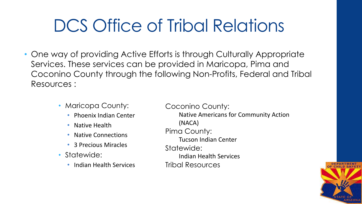- One way of providing Active Efforts is through Culturally Appropriate Services. These services can be provided in Maricopa, Pima and Coconino County through the following Non-Profits, Federal and Tribal Resources :
	- Maricopa County:
		- Phoenix Indian Center
		- Native Health
		- Native Connections
		- 3 Precious Miracles
	- Statewide:
		- Indian Health Services

Coconino County: Native Americans for Community Action (NACA) Pima County: Tucson Indian Center Statewide: Indian Health Services Tribal Resources

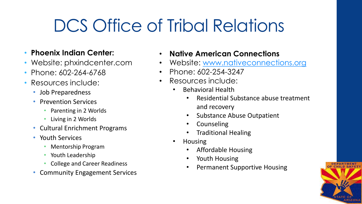- **Phoenix Indian Center:**
- Website: phxindcenter.com
- Phone: 602-264-6768
- Resources include:
	- Job Preparedness
	- Prevention Services
		- Parenting in 2 Worlds
		- Living in 2 Worlds
	- Cultural Enrichment Programs
	- Youth Services
		- Mentorship Program
		- Youth Leadership
		- College and Career Readiness
	- Community Engagement Services
- **Native American Connections**
- Website: [www.nativeconnections.org](http://www.nativeconnections.org/)
- Phone: 602-254-3247
- Resources include:
	- Behavioral Health
		- Residential Substance abuse treatment and recovery
		- Substance Abuse Outpatient
		- **Counseling**
		- Traditional Healing
	- Housing
		- Affordable Housing
		- Youth Housing
		- Permanent Supportive Housing

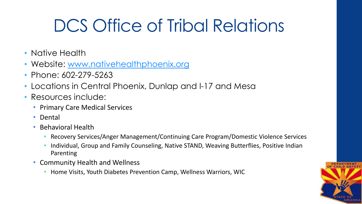- Native Health
- Website: [www.nativehealthphoenix.org](http://www.nativehealthphoenix.org/)
- Phone: 602-279-5263
- Locations in Central Phoenix, Dunlap and I-17 and Mesa
- Resources include:
	- Primary Care Medical Services
	- Dental
	- Behavioral Health
		- Recovery Services/Anger Management/Continuing Care Program/Domestic Violence Services
		- Individual, Group and Family Counseling, Native STAND, Weaving Butterflies, Positive Indian Parenting
	- Community Health and Wellness
		- Home Visits, Youth Diabetes Prevention Camp, Wellness Warriors, WIC

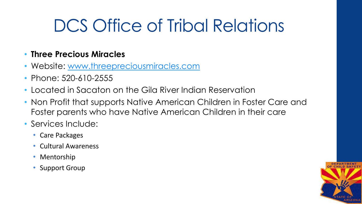#### • **Three Precious Miracles**

- Website: [www.threepreciousmiracles.com](http://www.threepreciousmiracles.com/)
- Phone: 520-610-2555
- Located in Sacaton on the Gila River Indian Reservation
- Non Profit that supports Native American Children in Foster Care and Foster parents who have Native American Children in their care
- Services Include:
	- Care Packages
	- Cultural Awareness
	- Mentorship
	- Support Group

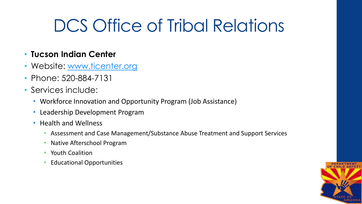#### • **Tucson Indian Center**

- Website: [www.ticenter.org](http://www.ticenter.org/)
- Phone: 520-884-7131
- Services include:
	- Workforce Innovation and Opportunity Program (Job Assistance)
	- Leadership Development Program
	- Health and Wellness
		- Assessment and Case Management/Substance Abuse Treatment and Support Services
		- Native Afterschool Program
		- Youth Coalition
		- Educational Opportunities

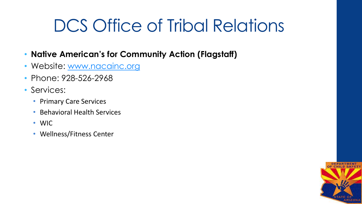- **Native American's for Community Action (Flagstaff)**
- Website: [www.nacainc.org](http://www.nacainc.org/)
- Phone: 928-526-2968
- Services:
	- Primary Care Services
	- Behavioral Health Services
	- WIC
	- Wellness/Fitness Center

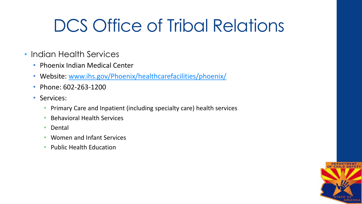- Indian Health Services
	- Phoenix Indian Medical Center
	- Website: [www.ihs.gov/Phoenix/healthcarefacilities/phoenix/](http://www.ihs.gov/Phoenix/healthcarefacilities/phoenix/)
	- Phone: 602-263-1200
	- Services:
		- Primary Care and Inpatient (including specialty care) health services
		- Behavioral Health Services
		- Dental
		- Women and Infant Services
		- Public Health Education

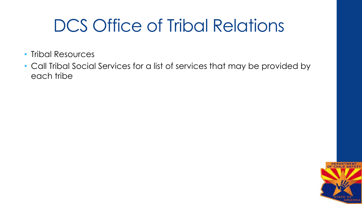- Tribal Resources
- Call Tribal Social Services for a list of services that may be provided by each tribe